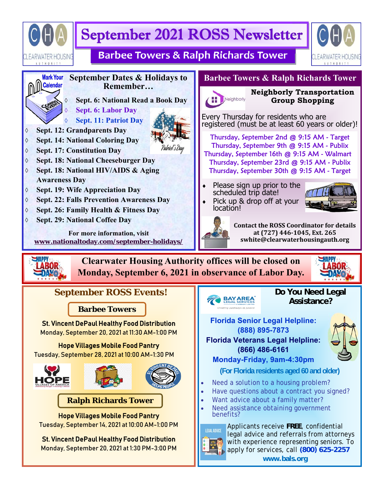